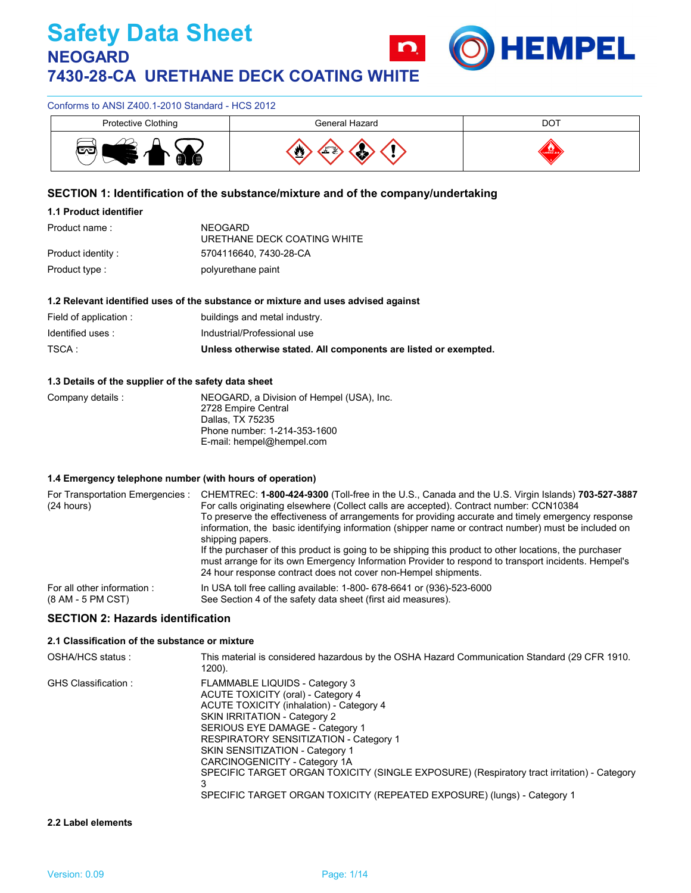

## Conforms to ANSI Z400.1-2010 Standard - HCS 2012

| Protective Clothing | General Hazard | DOT                      |
|---------------------|----------------|--------------------------|
| -…−<br>Æ.           |                | --<br><b>CLAMBER CO.</b> |

## **SECTION 1: Identification of the substance/mixture and of the company/undertaking**

## **1.1 Product identifier**

| Product name :     | NEOGARD<br>URETHANE DECK COATING WHITE |
|--------------------|----------------------------------------|
| Product identity : | 5704116640, 7430-28-CA                 |
| Product type :     | polyurethane paint                     |

#### **1.2 Relevant identified uses of the substance or mixture and uses advised against**

| Field of application : | buildings and metal industry.                                   |
|------------------------|-----------------------------------------------------------------|
| Identified uses :      | Industrial/Professional use                                     |
| TSCA :                 | Unless otherwise stated. All components are listed or exempted. |

#### **1.3 Details of the supplier of the safety data sheet**

| Company details : | NEOGARD, a Division of Hempel (USA), Inc. |
|-------------------|-------------------------------------------|
|                   | 2728 Empire Central                       |
|                   | Dallas, TX 75235                          |
|                   | Phone number: 1-214-353-1600              |
|                   | E-mail: hempel@hempel.com                 |

#### **1.4 Emergency telephone number (with hours of operation)**

| For Transportation Emergencies :<br>(24 hours) | CHEMTREC: 1-800-424-9300 (Toll-free in the U.S., Canada and the U.S. Virgin Islands) 703-527-3887<br>For calls originating elsewhere (Collect calls are accepted). Contract number: CCN10384<br>To preserve the effectiveness of arrangements for providing accurate and timely emergency response<br>information, the basic identifying information (shipper name or contract number) must be included on<br>shipping papers.<br>If the purchaser of this product is going to be shipping this product to other locations, the purchaser<br>must arrange for its own Emergency Information Provider to respond to transport incidents. Hempel's<br>24 hour response contract does not cover non-Hempel shipments. |
|------------------------------------------------|--------------------------------------------------------------------------------------------------------------------------------------------------------------------------------------------------------------------------------------------------------------------------------------------------------------------------------------------------------------------------------------------------------------------------------------------------------------------------------------------------------------------------------------------------------------------------------------------------------------------------------------------------------------------------------------------------------------------|
| For all other information:                     | In USA toll free calling available: 1-800- 678-6641 or (936)-523-6000                                                                                                                                                                                                                                                                                                                                                                                                                                                                                                                                                                                                                                              |
| (8 AM - 5 PM CST)                              | See Section 4 of the safety data sheet (first aid measures).                                                                                                                                                                                                                                                                                                                                                                                                                                                                                                                                                                                                                                                       |

## **SECTION 2: Hazards identification**

## **2.1 Classification of the substance or mixture**

| OSHA/HCS status:    | This material is considered hazardous by the OSHA Hazard Communication Standard (29 CFR 1910.<br>1200).                                                                                                                                                                                                                                                                                                                                                                    |
|---------------------|----------------------------------------------------------------------------------------------------------------------------------------------------------------------------------------------------------------------------------------------------------------------------------------------------------------------------------------------------------------------------------------------------------------------------------------------------------------------------|
| GHS Classification: | FLAMMABLE LIQUIDS - Category 3<br>ACUTE TOXICITY (oral) - Category 4<br>ACUTE TOXICITY (inhalation) - Category 4<br>SKIN IRRITATION - Category 2<br>SERIOUS EYE DAMAGE - Category 1<br>RESPIRATORY SENSITIZATION - Category 1<br>SKIN SENSITIZATION - Category 1<br>CARCINOGENICITY - Category 1A<br>SPECIFIC TARGET ORGAN TOXICITY (SINGLE EXPOSURE) (Respiratory tract irritation) - Category<br>SPECIFIC TARGET ORGAN TOXICITY (REPEATED EXPOSURE) (lungs) - Category 1 |

#### **2.2 Label elements**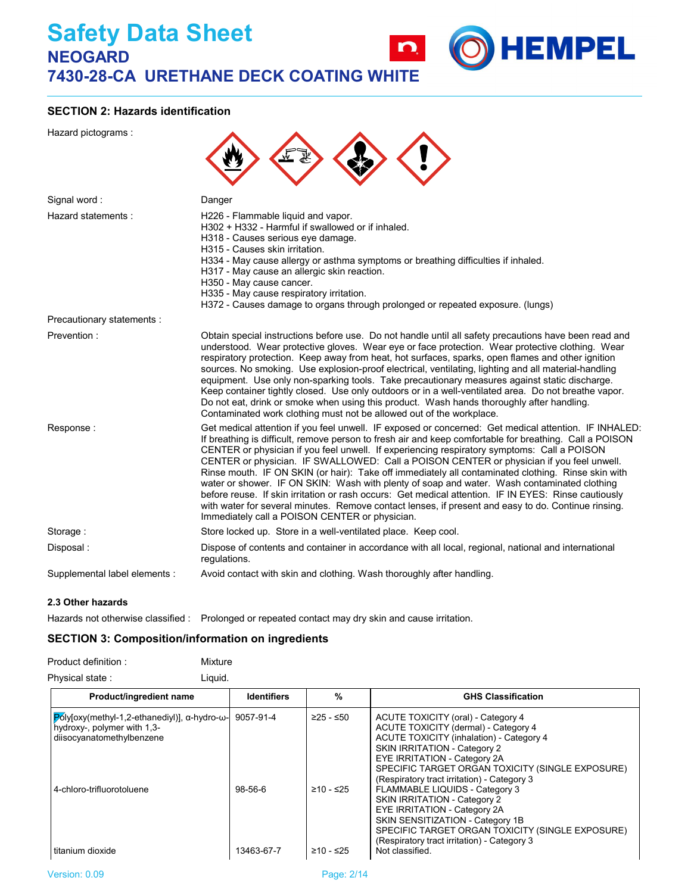

Hazard pictograms :



**IEMPEL** 

| Signal word:                  | Danger                                                                                                                                                                                                                                                                                                                                                                                                                                                                                                                                                                                                                                                                                                                                                                                                                                                                            |
|-------------------------------|-----------------------------------------------------------------------------------------------------------------------------------------------------------------------------------------------------------------------------------------------------------------------------------------------------------------------------------------------------------------------------------------------------------------------------------------------------------------------------------------------------------------------------------------------------------------------------------------------------------------------------------------------------------------------------------------------------------------------------------------------------------------------------------------------------------------------------------------------------------------------------------|
| Hazard statements:            | H226 - Flammable liquid and vapor.<br>H302 + H332 - Harmful if swallowed or if inhaled.<br>H318 - Causes serious eye damage.<br>H315 - Causes skin irritation.<br>H334 - May cause allergy or asthma symptoms or breathing difficulties if inhaled.<br>H317 - May cause an allergic skin reaction.<br>H350 - May cause cancer.<br>H335 - May cause respiratory irritation.<br>H372 - Causes damage to organs through prolonged or repeated exposure. (lungs)                                                                                                                                                                                                                                                                                                                                                                                                                      |
| Precautionary statements :    |                                                                                                                                                                                                                                                                                                                                                                                                                                                                                                                                                                                                                                                                                                                                                                                                                                                                                   |
| Prevention:                   | Obtain special instructions before use. Do not handle until all safety precautions have been read and<br>understood. Wear protective gloves. Wear eye or face protection. Wear protective clothing. Wear<br>respiratory protection. Keep away from heat, hot surfaces, sparks, open flames and other ignition<br>sources. No smoking. Use explosion-proof electrical, ventilating, lighting and all material-handling<br>equipment. Use only non-sparking tools. Take precautionary measures against static discharge.<br>Keep container tightly closed. Use only outdoors or in a well-ventilated area. Do not breathe vapor.<br>Do not eat, drink or smoke when using this product. Wash hands thoroughly after handling.<br>Contaminated work clothing must not be allowed out of the workplace.                                                                               |
| Response:                     | Get medical attention if you feel unwell. IF exposed or concerned: Get medical attention. IF INHALED:<br>If breathing is difficult, remove person to fresh air and keep comfortable for breathing. Call a POISON<br>CENTER or physician if you feel unwell. If experiencing respiratory symptoms: Call a POISON<br>CENTER or physician. IF SWALLOWED: Call a POISON CENTER or physician if you feel unwell.<br>Rinse mouth. IF ON SKIN (or hair): Take off immediately all contaminated clothing. Rinse skin with<br>water or shower. IF ON SKIN: Wash with plenty of soap and water. Wash contaminated clothing<br>before reuse. If skin irritation or rash occurs: Get medical attention. IF IN EYES: Rinse cautiously<br>with water for several minutes. Remove contact lenses, if present and easy to do. Continue rinsing.<br>Immediately call a POISON CENTER or physician. |
| Storage:                      | Store locked up. Store in a well-ventilated place. Keep cool.                                                                                                                                                                                                                                                                                                                                                                                                                                                                                                                                                                                                                                                                                                                                                                                                                     |
| Disposal:                     | Dispose of contents and container in accordance with all local, regional, national and international<br>requlations.                                                                                                                                                                                                                                                                                                                                                                                                                                                                                                                                                                                                                                                                                                                                                              |
| Supplemental label elements : | Avoid contact with skin and clothing. Wash thoroughly after handling.                                                                                                                                                                                                                                                                                                                                                                                                                                                                                                                                                                                                                                                                                                                                                                                                             |
|                               |                                                                                                                                                                                                                                                                                                                                                                                                                                                                                                                                                                                                                                                                                                                                                                                                                                                                                   |

### **2.3 Other hazards**

Hazards not otherwise classified : Prolonged or repeated contact may dry skin and cause irritation.

## **SECTION 3: Composition/information on ingredients**

| Product definition: | Mixture |
|---------------------|---------|
| Physical state:     | Liauid. |

| Product/ingredient name                                                                                                       | <b>Identifiers</b> | $\frac{0}{0}$ | <b>GHS Classification</b>                                                                                                                                                                                                                                                                 |
|-------------------------------------------------------------------------------------------------------------------------------|--------------------|---------------|-------------------------------------------------------------------------------------------------------------------------------------------------------------------------------------------------------------------------------------------------------------------------------------------|
| $ P$ oly[oxy(methyl-1,2-ethanediyl)], $\alpha$ -hydro- $\omega$ -<br>hydroxy-, polymer with 1,3-<br>diisocyanatomethylbenzene | 9057-91-4          | ≥25 - ≤50     | ACUTE TOXICITY (oral) - Category 4<br>ACUTE TOXICITY (dermal) - Category 4<br>ACUTE TOXICITY (inhalation) - Category 4<br>SKIN IRRITATION - Category 2<br>EYE IRRITATION - Category 2A<br>SPECIFIC TARGET ORGAN TOXICITY (SINGLE EXPOSURE)<br>(Respiratory tract irritation) - Category 3 |
| 4-chloro-trifluorotoluene                                                                                                     | $98-56-6$          | ≥10 - ≤25     | <b>FLAMMABLE LIQUIDS - Category 3</b><br>SKIN IRRITATION - Category 2<br>EYE IRRITATION - Category 2A<br>SKIN SENSITIZATION - Category 1B<br>SPECIFIC TARGET ORGAN TOXICITY (SINGLE EXPOSURE)<br>(Respiratory tract irritation) - Category 3                                              |
| titanium dioxide                                                                                                              | 13463-67-7         | ≥10 - ≤25     | Not classified.                                                                                                                                                                                                                                                                           |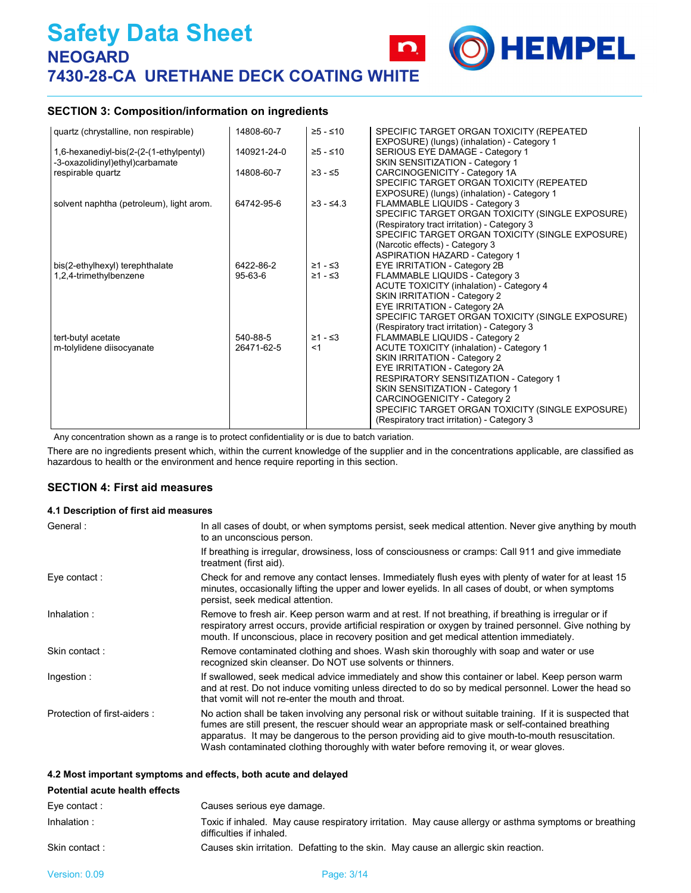## **SECTION 3: Composition/information on ingredients**

| quartz (chrystalline, non respirable)                                      | 14808-60-7    | ≥5 - ≤10        | SPECIFIC TARGET ORGAN TOXICITY (REPEATED<br>EXPOSURE) (lungs) (inhalation) - Category 1 |
|----------------------------------------------------------------------------|---------------|-----------------|-----------------------------------------------------------------------------------------|
| 1,6-hexanediyl-bis(2-(2-(1-ethylpentyl)<br>-3-oxazolidinyl)ethyl)carbamate | 140921-24-0   | $≥5 - ≤10$      | SERIOUS EYE DAMAGE - Category 1<br>SKIN SENSITIZATION - Category 1                      |
| respirable quartz                                                          | 14808-60-7    | $≥3 - ≤5$       | CARCINOGENICITY - Category 1A                                                           |
|                                                                            |               |                 | SPECIFIC TARGET ORGAN TOXICITY (REPEATED<br>EXPOSURE) (lungs) (inhalation) - Category 1 |
| solvent naphtha (petroleum), light arom.                                   | 64742-95-6    | $\geq 3 - 54.3$ | FLAMMABLE LIQUIDS - Category 3<br>SPECIFIC TARGET ORGAN TOXICITY (SINGLE EXPOSURE)      |
|                                                                            |               |                 | (Respiratory tract irritation) - Category 3                                             |
|                                                                            |               |                 | SPECIFIC TARGET ORGAN TOXICITY (SINGLE EXPOSURE)<br>(Narcotic effects) - Category 3     |
|                                                                            |               |                 | <b>ASPIRATION HAZARD - Category 1</b>                                                   |
| bis(2-ethylhexyl) terephthalate                                            | 6422-86-2     | $≥1 - ≤3$       | EYE IRRITATION - Category 2B                                                            |
| 1,2,4-trimethylbenzene                                                     | $95 - 63 - 6$ | $≥1 - ≤3$       | FLAMMABLE LIQUIDS - Category 3                                                          |
|                                                                            |               |                 | ACUTE TOXICITY (inhalation) - Category 4<br>SKIN IRRITATION - Category 2                |
|                                                                            |               |                 | EYE IRRITATION - Category 2A                                                            |
|                                                                            |               |                 | SPECIFIC TARGET ORGAN TOXICITY (SINGLE EXPOSURE)                                        |
|                                                                            |               |                 | (Respiratory tract irritation) - Category 3                                             |
| tert-butyl acetate                                                         | 540-88-5      | $≥1 - ≤3$       | FLAMMABLE LIQUIDS - Category 2                                                          |
| m-tolylidene diisocyanate                                                  | 26471-62-5    | $<$ 1           | ACUTE TOXICITY (inhalation) - Category 1                                                |
|                                                                            |               |                 | SKIN IRRITATION - Category 2                                                            |
|                                                                            |               |                 | EYE IRRITATION - Category 2A                                                            |
|                                                                            |               |                 | <b>RESPIRATORY SENSITIZATION - Category 1</b>                                           |
|                                                                            |               |                 | SKIN SENSITIZATION - Category 1                                                         |
|                                                                            |               |                 | CARCINOGENICITY - Category 2                                                            |
|                                                                            |               |                 | SPECIFIC TARGET ORGAN TOXICITY (SINGLE EXPOSURE)                                        |
|                                                                            |               |                 | (Respiratory tract irritation) - Category 3                                             |

**HEMPEL** 

Any concentration shown as a range is to protect confidentiality or is due to batch variation.

There are no ingredients present which, within the current knowledge of the supplier and in the concentrations applicable, are classified as hazardous to health or the environment and hence require reporting in this section.

### **SECTION 4: First aid measures**

#### **4.1 Description of first aid measures**

| General:                    | In all cases of doubt, or when symptoms persist, seek medical attention. Never give anything by mouth<br>to an unconscious person.                                                                                                                                                                                                                                                                         |
|-----------------------------|------------------------------------------------------------------------------------------------------------------------------------------------------------------------------------------------------------------------------------------------------------------------------------------------------------------------------------------------------------------------------------------------------------|
|                             | If breathing is irregular, drowsiness, loss of consciousness or cramps: Call 911 and give immediate<br>treatment (first aid).                                                                                                                                                                                                                                                                              |
| Eye contact:                | Check for and remove any contact lenses. Immediately flush eyes with plenty of water for at least 15<br>minutes, occasionally lifting the upper and lower eyelids. In all cases of doubt, or when symptoms<br>persist, seek medical attention.                                                                                                                                                             |
| Inhalation:                 | Remove to fresh air. Keep person warm and at rest. If not breathing, if breathing is irregular or if<br>respiratory arrest occurs, provide artificial respiration or oxygen by trained personnel. Give nothing by<br>mouth. If unconscious, place in recovery position and get medical attention immediately.                                                                                              |
| Skin contact:               | Remove contaminated clothing and shoes. Wash skin thoroughly with soap and water or use<br>recognized skin cleanser. Do NOT use solvents or thinners.                                                                                                                                                                                                                                                      |
| Ingestion:                  | If swallowed, seek medical advice immediately and show this container or label. Keep person warm<br>and at rest. Do not induce vomiting unless directed to do so by medical personnel. Lower the head so<br>that vomit will not re-enter the mouth and throat.                                                                                                                                             |
| Protection of first-aiders: | No action shall be taken involving any personal risk or without suitable training. If it is suspected that<br>fumes are still present, the rescuer should wear an appropriate mask or self-contained breathing<br>apparatus. It may be dangerous to the person providing aid to give mouth-to-mouth resuscitation.<br>Wash contaminated clothing thoroughly with water before removing it, or wear gloves. |

#### **4.2 Most important symptoms and effects, both acute and delayed**

| <b>Potential acute health effects</b> |                                                                                                                                   |
|---------------------------------------|-----------------------------------------------------------------------------------------------------------------------------------|
| Eye contact:                          | Causes serious eye damage.                                                                                                        |
| Inhalation:                           | Toxic if inhaled. May cause respiratory irritation. May cause allergy or asthma symptoms or breathing<br>difficulties if inhaled. |
| Skin contact:                         | Causes skin irritation. Defatting to the skin. May cause an allergic skin reaction.                                               |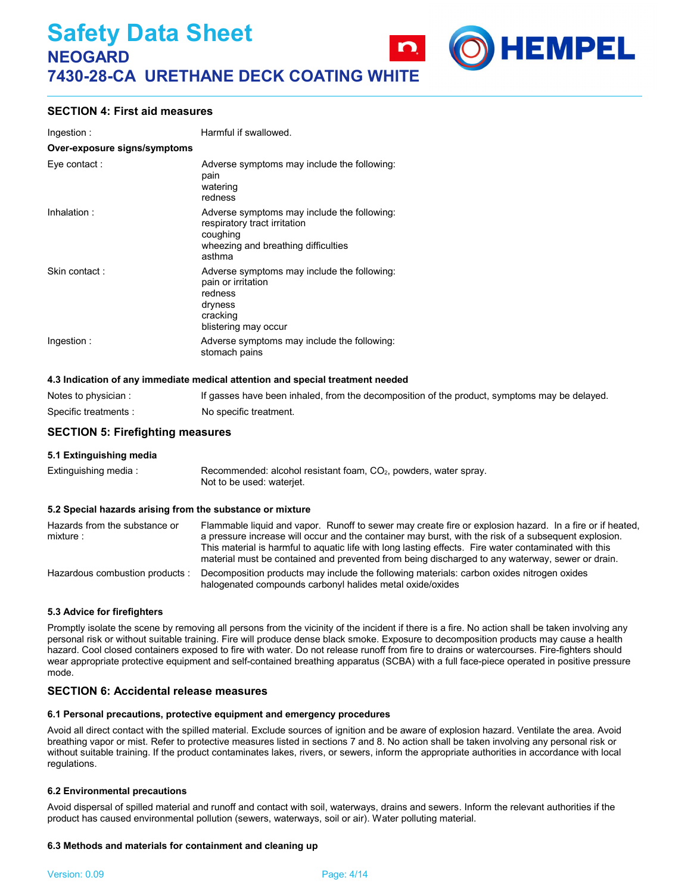

| Ingestion:                   | Harmful if swallowed.                                                                                                                    |  |
|------------------------------|------------------------------------------------------------------------------------------------------------------------------------------|--|
| Over-exposure signs/symptoms |                                                                                                                                          |  |
| Eye contact:                 | Adverse symptoms may include the following.<br>pain<br>watering<br>redness                                                               |  |
| Inhalation:                  | Adverse symptoms may include the following:<br>respiratory tract irritation<br>coughing<br>wheezing and breathing difficulties<br>asthma |  |
| Skin contact:                | Adverse symptoms may include the following:<br>pain or irritation<br>redness<br>dryness<br>cracking<br>blistering may occur              |  |
| Ingestion:                   | Adverse symptoms may include the following:<br>stomach pains                                                                             |  |

#### **4.3 Indication of any immediate medical attention and special treatment needed**

| Notes to physician :  | If gasses have been inhaled, from the decomposition of the product, symptoms may be delayed. |
|-----------------------|----------------------------------------------------------------------------------------------|
| Specific treatments : | No specific treatment.                                                                       |

**HEMPEL** 

#### **SECTION 5: Firefighting measures**

**5.1 Extinguishing media**

| Extinguishing media: | Recommended: alcohol resistant foam, CO <sub>2</sub> , powders, water spray. |
|----------------------|------------------------------------------------------------------------------|
|                      | Not to be used: waterjet.                                                    |

#### **5.2 Special hazards arising from the substance or mixture**

| Hazards from the substance or<br>mixture: | Flammable liquid and vapor. Runoff to sewer may create fire or explosion hazard. In a fire or if heated,<br>a pressure increase will occur and the container may burst, with the risk of a subsequent explosion.<br>This material is harmful to aquatic life with long lasting effects. Fire water contaminated with this<br>material must be contained and prevented from being discharged to any waterway, sewer or drain. |
|-------------------------------------------|------------------------------------------------------------------------------------------------------------------------------------------------------------------------------------------------------------------------------------------------------------------------------------------------------------------------------------------------------------------------------------------------------------------------------|
| Hazardous combustion products :           | Decomposition products may include the following materials: carbon oxides nitrogen oxides<br>halogenated compounds carbonyl halides metal oxide/oxides                                                                                                                                                                                                                                                                       |

#### **5.3 Advice for firefighters**

Promptly isolate the scene by removing all persons from the vicinity of the incident if there is a fire. No action shall be taken involving any personal risk or without suitable training. Fire will produce dense black smoke. Exposure to decomposition products may cause a health hazard. Cool closed containers exposed to fire with water. Do not release runoff from fire to drains or watercourses. Fire-fighters should wear appropriate protective equipment and self-contained breathing apparatus (SCBA) with a full face-piece operated in positive pressure mode.

### **SECTION 6: Accidental release measures**

#### **6.1 Personal precautions, protective equipment and emergency procedures**

Avoid all direct contact with the spilled material. Exclude sources of ignition and be aware of explosion hazard. Ventilate the area. Avoid breathing vapor or mist. Refer to protective measures listed in sections 7 and 8. No action shall be taken involving any personal risk or without suitable training. If the product contaminates lakes, rivers, or sewers, inform the appropriate authorities in accordance with local regulations.

#### **6.2 Environmental precautions**

Avoid dispersal of spilled material and runoff and contact with soil, waterways, drains and sewers. Inform the relevant authorities if the product has caused environmental pollution (sewers, waterways, soil or air). Water polluting material.

#### **6.3 Methods and materials for containment and cleaning up**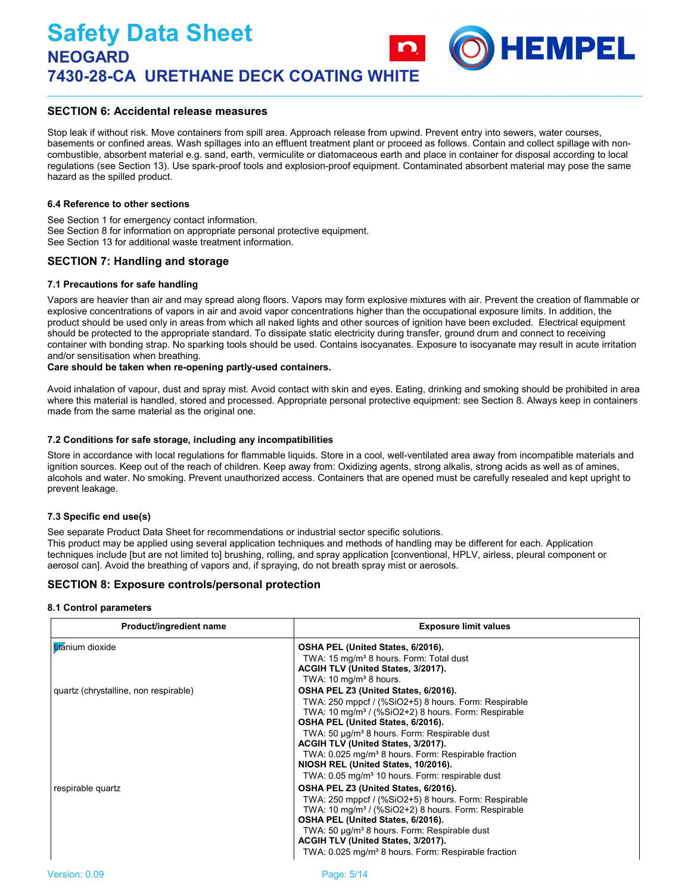## **SECTION 6: Accidental release measures**

Stop leak if without risk. Move containers from spill area. Approach release from upwind. Prevent entry into sewers, water courses, basements or confined areas. Wash spillages into an effluent treatment plant or proceed as follows. Contain and collect spillage with noncombustible, absorbent material e.g. sand, earth, vermiculite or diatomaceous earth and place in container for disposal according to local regulations (see Section 13). Use spark-proof tools and explosion-proof equipment. Contaminated absorbent material may pose the same hazard as the spilled product.

**HEMPEL** 

#### **6.4 Reference to other sections**

See Section 1 for emergency contact information. See Section 8 for information on appropriate personal protective equipment. See Section 13 for additional waste treatment information.

#### **SECTION 7: Handling and storage**

#### **7.1 Precautions for safe handling**

Vapors are heavier than air and may spread along floors. Vapors may form explosive mixtures with air. Prevent the creation of flammable or explosive concentrations of vapors in air and avoid vapor concentrations higher than the occupational exposure limits. In addition, the product should be used only in areas from which all naked lights and other sources of ignition have been excluded. Electrical equipment should be protected to the appropriate standard. To dissipate static electricity during transfer, ground drum and connect to receiving container with bonding strap. No sparking tools should be used. Contains isocyanates. Exposure to isocyanate may result in acute irritation and/or sensitisation when breathing.

#### **Care should be taken when re-opening partly-used containers.**

Avoid inhalation of vapour, dust and spray mist. Avoid contact with skin and eyes. Eating, drinking and smoking should be prohibited in area where this material is handled, stored and processed. Appropriate personal protective equipment: see Section 8. Always keep in containers made from the same material as the original one.

#### **7.2 Conditions for safe storage, including any incompatibilities**

Store in accordance with local regulations for flammable liquids. Store in a cool, well-ventilated area away from incompatible materials and ignition sources. Keep out of the reach of children. Keep away from: Oxidizing agents, strong alkalis, strong acids as well as of amines, alcohols and water. No smoking. Prevent unauthorized access. Containers that are opened must be carefully resealed and kept upright to prevent leakage.

#### **7.3 Specific end use(s)**

See separate Product Data Sheet for recommendations or industrial sector specific solutions. This product may be applied using several application techniques and methods of handling may be different for each. Application techniques include [but are not limited to] brushing, rolling, and spray application [conventional, HPLV, airless, pleural component or aerosol can]. Avoid the breathing of vapors and, if spraying, do not breath spray mist or aerosols.

### **SECTION 8: Exposure controls/personal protection**

#### **8.1 Control parameters**

| Product/ingredient name               | <b>Exposure limit values</b>                                                                                                                                                                                                                                                                                                                                                                                                                                                    |  |  |
|---------------------------------------|---------------------------------------------------------------------------------------------------------------------------------------------------------------------------------------------------------------------------------------------------------------------------------------------------------------------------------------------------------------------------------------------------------------------------------------------------------------------------------|--|--|
| titanium dioxide                      | OSHA PEL (United States, 6/2016).<br>TWA: 15 mg/m <sup>3</sup> 8 hours. Form: Total dust<br>ACGIH TLV (United States, 3/2017).<br>TWA: $10 \text{ mg/m}^3$ 8 hours.                                                                                                                                                                                                                                                                                                             |  |  |
| quartz (chrystalline, non respirable) | OSHA PEL Z3 (United States, 6/2016).<br>TWA: 250 mppcf / (%SiO2+5) 8 hours. Form: Respirable<br>TWA: 10 mg/m <sup>3</sup> / (%SiO2+2) 8 hours. Form: Respirable<br>OSHA PEL (United States, 6/2016).<br>TWA: 50 µg/m <sup>3</sup> 8 hours. Form: Respirable dust<br>ACGIH TLV (United States, 3/2017).<br>TWA: 0.025 mg/m <sup>3</sup> 8 hours. Form: Respirable fraction<br>NIOSH REL (United States, 10/2016).<br>TWA: 0.05 mg/m <sup>3</sup> 10 hours. Form: respirable dust |  |  |
| respirable quartz                     | OSHA PEL Z3 (United States, 6/2016).<br>TWA: 250 mppcf / (%SiO2+5) 8 hours. Form: Respirable<br>TWA: 10 mg/m <sup>3</sup> / (%SiO2+2) 8 hours. Form: Respirable<br>OSHA PEL (United States, 6/2016).<br>TWA: 50 µg/m <sup>3</sup> 8 hours. Form: Respirable dust<br>ACGIH TLV (United States, 3/2017).<br>TWA: 0.025 mg/m <sup>3</sup> 8 hours. Form: Respirable fraction                                                                                                       |  |  |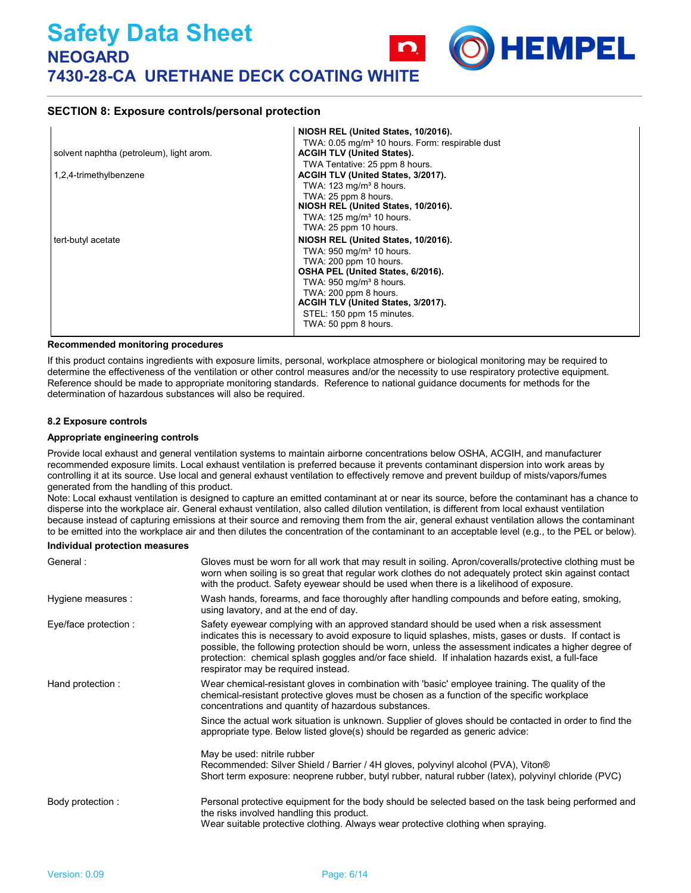## **SECTION 8: Exposure controls/personal protection**

|                                          | NIOSH REL (United States, 10/2016).                         |
|------------------------------------------|-------------------------------------------------------------|
|                                          | TWA: 0.05 mg/m <sup>3</sup> 10 hours. Form: respirable dust |
| solvent naphtha (petroleum), light arom. | <b>ACGIH TLV (United States).</b>                           |
|                                          | TWA Tentative: 25 ppm 8 hours.                              |
| 1,2,4-trimethylbenzene                   | ACGIH TLV (United States, 3/2017).                          |
|                                          | TWA: $123 \text{ mg/m}^3$ 8 hours.                          |
|                                          | TWA: 25 ppm 8 hours.                                        |
|                                          | NIOSH REL (United States, 10/2016).                         |
|                                          | TWA: 125 mg/m <sup>3</sup> 10 hours.                        |
|                                          | TWA: 25 ppm 10 hours.                                       |
| tert-butyl acetate                       | NIOSH REL (United States, 10/2016).                         |
|                                          | TWA: 950 mg/m <sup>3</sup> 10 hours.                        |
|                                          | TWA: 200 ppm 10 hours.                                      |
|                                          | OSHA PEL (United States, 6/2016).                           |
|                                          | TWA: $950 \text{ mg/m}^3$ 8 hours.                          |
|                                          | TWA: 200 ppm 8 hours.                                       |
|                                          | ACGIH TLV (United States, 3/2017).                          |
|                                          | STEL: 150 ppm 15 minutes.                                   |
|                                          | TWA: 50 ppm 8 hours.                                        |
|                                          |                                                             |

HEMPEL

#### **Recommended monitoring procedures**

If this product contains ingredients with exposure limits, personal, workplace atmosphere or biological monitoring may be required to determine the effectiveness of the ventilation or other control measures and/or the necessity to use respiratory protective equipment. Reference should be made to appropriate monitoring standards. Reference to national guidance documents for methods for the determination of hazardous substances will also be required.

#### **8.2 Exposure controls**

#### **Appropriate engineering controls**

Provide local exhaust and general ventilation systems to maintain airborne concentrations below OSHA, ACGIH, and manufacturer recommended exposure limits. Local exhaust ventilation is preferred because it prevents contaminant dispersion into work areas by controlling it at its source. Use local and general exhaust ventilation to effectively remove and prevent buildup of mists/vapors/fumes generated from the handling of this product.

Note: Local exhaust ventilation is designed to capture an emitted contaminant at or near its source, before the contaminant has a chance to disperse into the workplace air. General exhaust ventilation, also called dilution ventilation, is different from local exhaust ventilation because instead of capturing emissions at their source and removing them from the air, general exhaust ventilation allows the contaminant to be emitted into the workplace air and then dilutes the concentration of the contaminant to an acceptable level (e.g., to the PEL or below).

#### **Individual protection measures**

| General:              | Gloves must be worn for all work that may result in soiling. Apron/coveralls/protective clothing must be<br>worn when soiling is so great that regular work clothes do not adequately protect skin against contact<br>with the product. Safety eyewear should be used when there is a likelihood of exposure.                                                                                                                                          |
|-----------------------|--------------------------------------------------------------------------------------------------------------------------------------------------------------------------------------------------------------------------------------------------------------------------------------------------------------------------------------------------------------------------------------------------------------------------------------------------------|
| Hygiene measures :    | Wash hands, forearms, and face thoroughly after handling compounds and before eating, smoking,<br>using lavatory, and at the end of day.                                                                                                                                                                                                                                                                                                               |
| Eye/face protection : | Safety eyewear complying with an approved standard should be used when a risk assessment<br>indicates this is necessary to avoid exposure to liquid splashes, mists, gases or dusts. If contact is<br>possible, the following protection should be worn, unless the assessment indicates a higher degree of<br>protection: chemical splash goggles and/or face shield. If inhalation hazards exist, a full-face<br>respirator may be required instead. |
| Hand protection:      | Wear chemical-resistant gloves in combination with 'basic' employee training. The quality of the<br>chemical-resistant protective gloves must be chosen as a function of the specific workplace<br>concentrations and quantity of hazardous substances.                                                                                                                                                                                                |
|                       | Since the actual work situation is unknown. Supplier of gloves should be contacted in order to find the<br>appropriate type. Below listed glove(s) should be regarded as generic advice:                                                                                                                                                                                                                                                               |
|                       | May be used: nitrile rubber<br>Recommended: Silver Shield / Barrier / 4H gloves, polyvinyl alcohol (PVA), Viton®<br>Short term exposure: neoprene rubber, butyl rubber, natural rubber (latex), polyvinyl chloride (PVC)                                                                                                                                                                                                                               |
| Body protection :     | Personal protective equipment for the body should be selected based on the task being performed and<br>the risks involved handling this product.<br>Wear suitable protective clothing. Always wear protective clothing when spraying.                                                                                                                                                                                                                  |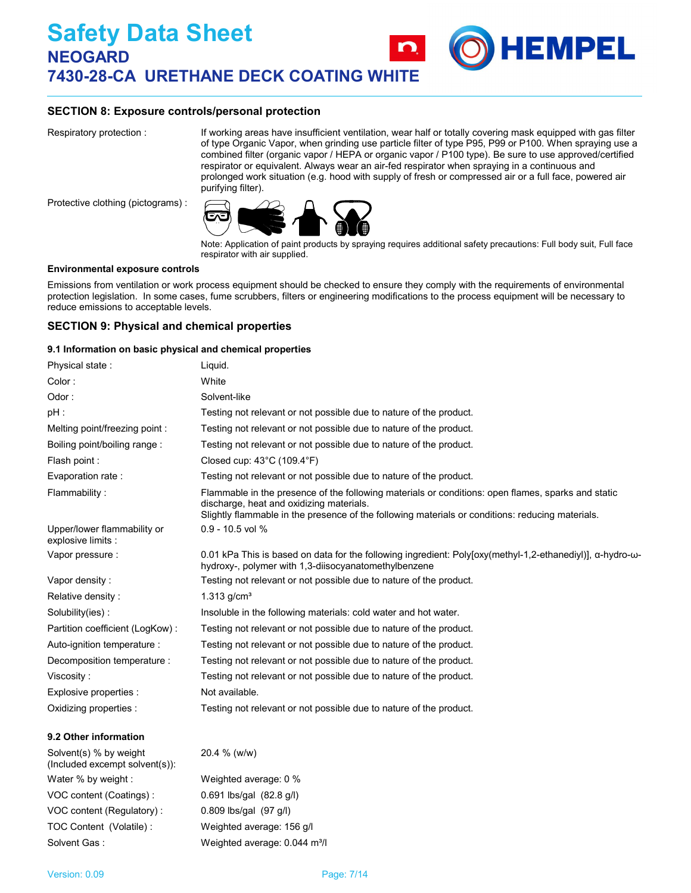## **SECTION 8: Exposure controls/personal protection**

Respiratory protection :

If working areas have insufficient ventilation, wear half or totally covering mask equipped with gas filter of type Organic Vapor, when grinding use particle filter of type P95, P99 or P100. When spraying use a combined filter (organic vapor / HEPA or organic vapor / P100 type). Be sure to use approved/certified respirator or equivalent. Always wear an air-fed respirator when spraying in a continuous and prolonged work situation (e.g. hood with supply of fresh or compressed air or a full face, powered air purifying filter).

**HEMPEL** 

Protective clothing (pictograms) :



Note: Application of paint products by spraying requires additional safety precautions: Full body suit, Full face respirator with air supplied.

#### **Environmental exposure controls**

Emissions from ventilation or work process equipment should be checked to ensure they comply with the requirements of environmental protection legislation. In some cases, fume scrubbers, filters or engineering modifications to the process equipment will be necessary to reduce emissions to acceptable levels.

## **SECTION 9: Physical and chemical properties**

#### **9.1 Information on basic physical and chemical properties**

| Physical state:                                   | Liquid.                                                                                                                                                                                                                                            |
|---------------------------------------------------|----------------------------------------------------------------------------------------------------------------------------------------------------------------------------------------------------------------------------------------------------|
| Color:                                            | White                                                                                                                                                                                                                                              |
| Odor:                                             | Solvent-like                                                                                                                                                                                                                                       |
| pH :                                              | Testing not relevant or not possible due to nature of the product.                                                                                                                                                                                 |
| Melting point/freezing point:                     | Testing not relevant or not possible due to nature of the product.                                                                                                                                                                                 |
| Boiling point/boiling range:                      | Testing not relevant or not possible due to nature of the product.                                                                                                                                                                                 |
| Flash point:                                      | Closed cup: $43^{\circ}$ C (109.4 $^{\circ}$ F)                                                                                                                                                                                                    |
| Evaporation rate:                                 | Testing not relevant or not possible due to nature of the product.                                                                                                                                                                                 |
| Flammability:                                     | Flammable in the presence of the following materials or conditions: open flames, sparks and static<br>discharge, heat and oxidizing materials.<br>Slightly flammable in the presence of the following materials or conditions: reducing materials. |
| Upper/lower flammability or<br>explosive limits : | $0.9 - 10.5$ vol %                                                                                                                                                                                                                                 |
| Vapor pressure :                                  | 0.01 kPa This is based on data for the following ingredient: Poly[oxy(methyl-1,2-ethanediyl)], $\alpha$ -hydro- $\omega$ -<br>hydroxy-, polymer with 1,3-diisocyanatomethylbenzene                                                                 |
| Vapor density:                                    | Testing not relevant or not possible due to nature of the product.                                                                                                                                                                                 |
| Relative density:                                 | $1.313$ g/cm <sup>3</sup>                                                                                                                                                                                                                          |
| Solubility(ies):                                  | Insoluble in the following materials: cold water and hot water.                                                                                                                                                                                    |
| Partition coefficient (LogKow):                   | Testing not relevant or not possible due to nature of the product.                                                                                                                                                                                 |
| Auto-ignition temperature :                       | Testing not relevant or not possible due to nature of the product.                                                                                                                                                                                 |
| Decomposition temperature :                       | Testing not relevant or not possible due to nature of the product.                                                                                                                                                                                 |
| Viscositv :                                       | Testing not relevant or not possible due to nature of the product.                                                                                                                                                                                 |
| Explosive properties :                            | Not available.                                                                                                                                                                                                                                     |
| Oxidizing properties :                            | Testing not relevant or not possible due to nature of the product.                                                                                                                                                                                 |
| 0.0 Othar information                             |                                                                                                                                                                                                                                                    |

#### **9.2 Other information**

| Solvent(s) % by weight<br>(Included excempt solvent(s)): | 20.4 % (w/w)                              |
|----------------------------------------------------------|-------------------------------------------|
| Water % by weight :                                      | Weighted average: 0 %                     |
| VOC content (Coatings) :                                 | $0.691$ lbs/gal $(82.8 \text{ q/l})$      |
| VOC content (Regulatory):                                | $0.809$ lbs/gal $(97$ g/l)                |
| TOC Content (Volatile):                                  | Weighted average: 156 g/l                 |
| Solvent Gas:                                             | Weighted average: 0.044 m <sup>3</sup> /l |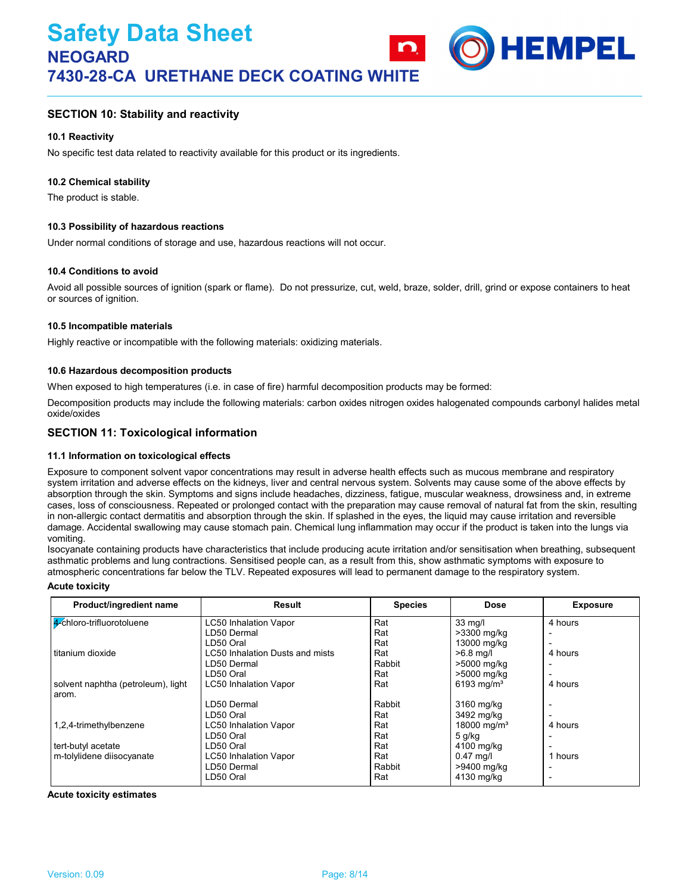

## **SECTION 10: Stability and reactivity**

#### **10.1 Reactivity**

No specific test data related to reactivity available for this product or its ingredients.

#### **10.2 Chemical stability**

The product is stable.

#### **10.3 Possibility of hazardous reactions**

Under normal conditions of storage and use, hazardous reactions will not occur.

#### **10.4 Conditions to avoid**

Avoid all possible sources of ignition (spark or flame). Do not pressurize, cut, weld, braze, solder, drill, grind or expose containers to heat or sources of ignition.

#### **10.5 Incompatible materials**

Highly reactive or incompatible with the following materials: oxidizing materials.

#### **10.6 Hazardous decomposition products**

When exposed to high temperatures (i.e. in case of fire) harmful decomposition products may be formed:

Decomposition products may include the following materials: carbon oxides nitrogen oxides halogenated compounds carbonyl halides metal oxide/oxides

## **SECTION 11: Toxicological information**

#### **11.1 Information on toxicological effects**

Exposure to component solvent vapor concentrations may result in adverse health effects such as mucous membrane and respiratory system irritation and adverse effects on the kidneys, liver and central nervous system. Solvents may cause some of the above effects by absorption through the skin. Symptoms and signs include headaches, dizziness, fatigue, muscular weakness, drowsiness and, in extreme cases, loss of consciousness. Repeated or prolonged contact with the preparation may cause removal of natural fat from the skin, resulting in non-allergic contact dermatitis and absorption through the skin. If splashed in the eyes, the liquid may cause irritation and reversible damage. Accidental swallowing may cause stomach pain. Chemical lung inflammation may occur if the product is taken into the lungs via vomiting.

Isocyanate containing products have characteristics that include producing acute irritation and/or sensitisation when breathing, subsequent asthmatic problems and lung contractions. Sensitised people can, as a result from this, show asthmatic symptoms with exposure to atmospheric concentrations far below the TLV. Repeated exposures will lead to permanent damage to the respiratory system.

#### **Acute toxicity**

| Product/ingredient name            | Result                          | <b>Species</b> | <b>Dose</b>             | <b>Exposure</b>          |
|------------------------------------|---------------------------------|----------------|-------------------------|--------------------------|
| 4-chloro-trifluorotoluene          | LC50 Inhalation Vapor           | Rat            | 33 mg/l                 | 4 hours                  |
|                                    | LD50 Dermal                     | Rat            | >3300 mg/kg             |                          |
|                                    | LD50 Oral                       | Rat            | 13000 mg/kg             |                          |
| titanium dioxide                   | LC50 Inhalation Dusts and mists | Rat            | $>6.8$ mg/l             | 4 hours                  |
|                                    | LD50 Dermal                     | Rabbit         | >5000 mg/kg             |                          |
|                                    | LD50 Oral                       | Rat            | >5000 mg/kg             |                          |
| solvent naphtha (petroleum), light | <b>LC50 Inhalation Vapor</b>    | Rat            | 6193 mg/m <sup>3</sup>  | 4 hours                  |
| arom.                              |                                 |                |                         |                          |
|                                    | LD50 Dermal                     | Rabbit         | 3160 mg/kg              | $\overline{\phantom{0}}$ |
|                                    | LD50 Oral                       | Rat            | 3492 mg/kg              |                          |
| 1,2,4-trimethylbenzene             | <b>LC50 Inhalation Vapor</b>    | Rat            | 18000 mg/m <sup>3</sup> | 4 hours                  |
|                                    | LD50 Oral                       | Rat            | $5$ g/kg                |                          |
| tert-butyl acetate                 | LD50 Oral                       | Rat            | 4100 mg/kg              |                          |
| m-tolylidene diisocyanate          | <b>LC50 Inhalation Vapor</b>    | Rat            | $0.47$ mg/              | 1 hours                  |
|                                    | LD50 Dermal                     | Rabbit         | >9400 mg/kg             | -                        |
|                                    | LD50 Oral                       | Rat            | 4130 mg/kg              | $\overline{\phantom{0}}$ |

**Acute toxicity estimates**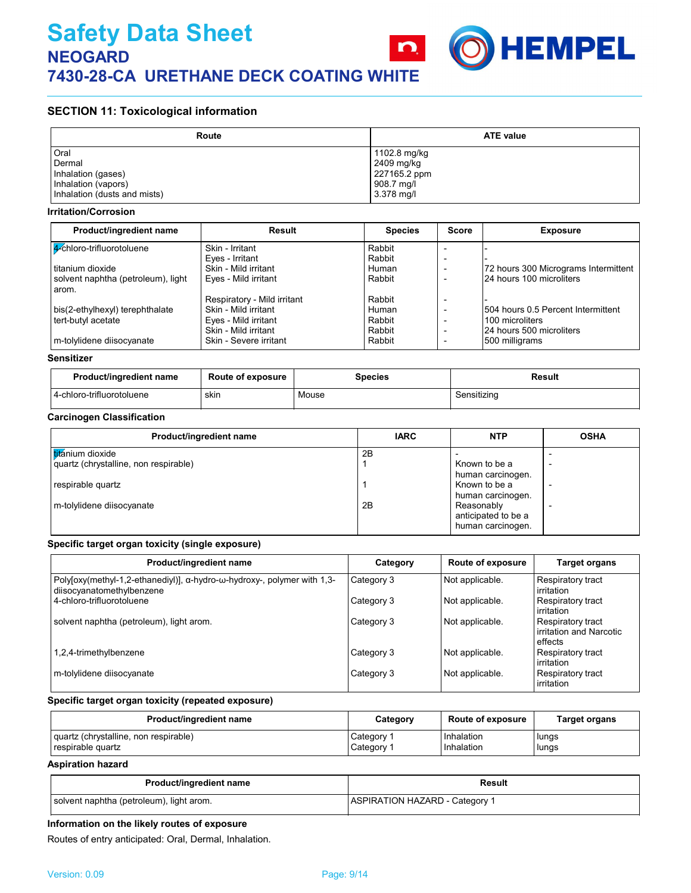

## **SECTION 11: Toxicological information**

| Route                        | <b>ATE value</b> |  |  |
|------------------------------|------------------|--|--|
| Oral                         | 1102.8 mg/kg     |  |  |
| Dermal                       | 2409 mg/kg       |  |  |
| Inhalation (gases)           | 227165.2 ppm     |  |  |
| Inhalation (vapors)          | 908.7 mg/l       |  |  |
| Inhalation (dusts and mists) | 3.378 mg/l       |  |  |

#### **Irritation/Corrosion**

| Product/ingredient name            | Result                      | <b>Species</b> | <b>Score</b> | <b>Exposure</b>                      |
|------------------------------------|-----------------------------|----------------|--------------|--------------------------------------|
| 4 chloro-trifluorotoluene          | Skin - Irritant             | Rabbit         |              |                                      |
|                                    | Eyes - Irritant             | Rabbit         |              |                                      |
| titanium dioxide                   | Skin - Mild irritant        | Human          |              | 72 hours 300 Micrograms Intermittent |
| solvent naphtha (petroleum), light | Eyes - Mild irritant        | Rabbit         |              | 24 hours 100 microliters             |
| arom.                              |                             |                |              |                                      |
|                                    | Respiratory - Mild irritant | Rabbit         |              |                                      |
| bis(2-ethylhexyl) terephthalate    | Skin - Mild irritant        | Human          |              | 1504 hours 0.5 Percent Intermittent  |
| tert-butyl acetate                 | Eyes - Mild irritant        | Rabbit         |              | 100 microliters                      |
|                                    | Skin - Mild irritant        | Rabbit         |              | 24 hours 500 microliters             |
| m-tolylidene diisocyanate          | Skin - Severe irritant      | Rabbit         |              | 500 milligrams                       |

#### **Sensitizer**

| Product/ingredient name   | <b>Route of exposure</b> | <b>Species</b> | Result      |
|---------------------------|--------------------------|----------------|-------------|
| 4-chloro-trifluorotoluene | skin                     | Mouse          | Sensitizing |

## **Carcinogen Classification**

| Product/ingredient name               | <b>IARC</b> | <b>NTP</b>          | <b>OSHA</b> |
|---------------------------------------|-------------|---------------------|-------------|
| titánium dioxide                      | 2B          |                     |             |
| quartz (chrystalline, non respirable) |             | Known to be a       |             |
|                                       |             | human carcinogen.   |             |
| respirable quartz                     |             | Known to be a       |             |
|                                       |             | human carcinogen.   |             |
| m-tolylidene diisocyanate             | 2B          | Reasonably          |             |
|                                       |             | anticipated to be a |             |
|                                       |             | human carcinogen.   |             |

#### **Specific target organ toxicity (single exposure)**

| Product/ingredient name                                                                                               | Category   | Route of exposure | <b>Target organs</b>                                    |
|-----------------------------------------------------------------------------------------------------------------------|------------|-------------------|---------------------------------------------------------|
| Polyfoxy(methyl-1,2-ethanediyl)], $\alpha$ -hydro- $\omega$ -hydroxy-, polymer with 1,3-<br>diisocyanatomethylbenzene | Category 3 | Not applicable.   | <b>Respiratory tract</b><br>irritation                  |
| 4-chloro-trifluorotoluene                                                                                             | Category 3 | Not applicable.   | Respiratory tract<br>irritation                         |
| solvent naphtha (petroleum), light arom.                                                                              | Category 3 | Not applicable.   | Respiratory tract<br>irritation and Narcotic<br>effects |
| 1,2,4-trimethylbenzene                                                                                                | Category 3 | Not applicable.   | <b>Respiratory tract</b><br>irritation                  |
| m-tolylidene diisocyanate                                                                                             | Category 3 | Not applicable.   | Respiratory tract<br>irritation                         |

## **Specific target organ toxicity (repeated exposure)**

| Product/ingredient name               | Category              | <b>Route of exposure</b> | <b>Target organs</b> |
|---------------------------------------|-----------------------|--------------------------|----------------------|
| quartz (chrystalline, non respirable) | Category 1            | Inhalation               | lungs                |
| respirable quartz                     | Category <sup>2</sup> | Inhalation               | lungs                |

#### **Aspiration hazard**

| Product/ingredient name                  | Result                                |
|------------------------------------------|---------------------------------------|
| solvent naphtha (petroleum), light arom. | <b>ASPIRATION HAZARD - Category 1</b> |

#### **Information on the likely routes of exposure**

Routes of entry anticipated: Oral, Dermal, Inhalation.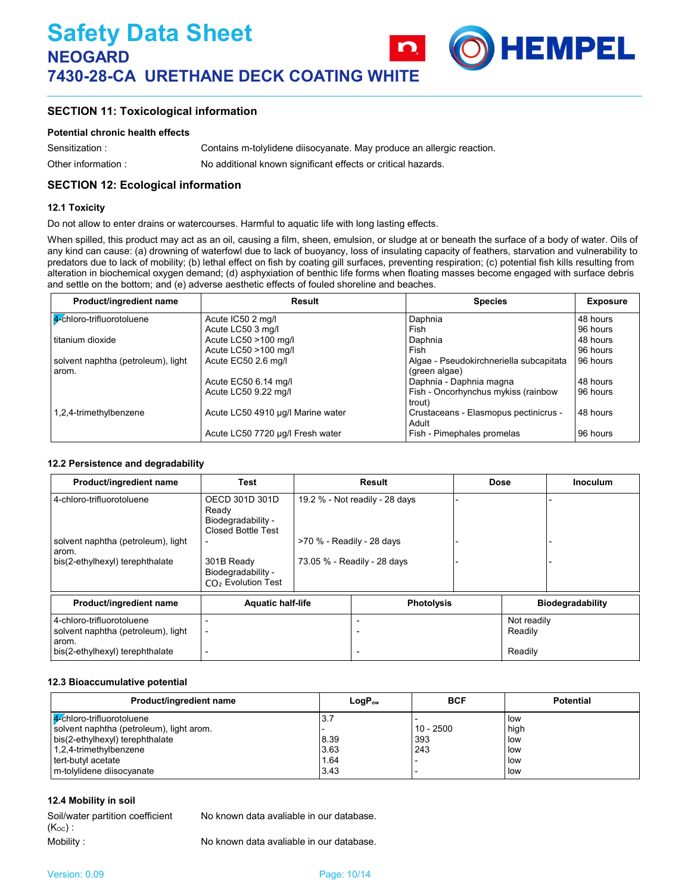

#### **Potential chronic health effects**

Other information : Sensitization : Contains m-tolylidene diisocyanate. May produce an allergic reaction. No additional known significant effects or critical hazards.

## **SECTION 12: Ecological information**

#### **12.1 Toxicity**

Do not allow to enter drains or watercourses. Harmful to aquatic life with long lasting effects.

When spilled, this product may act as an oil, causing a film, sheen, emulsion, or sludge at or beneath the surface of a body of water. Oils of any kind can cause: (a) drowning of waterfowl due to lack of buoyancy, loss of insulating capacity of feathers, starvation and vulnerability to predators due to lack of mobility; (b) lethal effect on fish by coating gill surfaces, preventing respiration; (c) potential fish kills resulting from alteration in biochemical oxygen demand; (d) asphyxiation of benthic life forms when floating masses become engaged with surface debris and settle on the bottom; and (e) adverse aesthetic effects of fouled shoreline and beaches.

**HEMPEL** 

| Product/ingredient name            | Result                            | <b>Species</b>                                 | <b>Exposure</b> |
|------------------------------------|-----------------------------------|------------------------------------------------|-----------------|
| 4-chloro-trifluorotoluene          | Acute IC50 2 mg/l                 | Daphnia                                        | 48 hours        |
|                                    | Acute LC50 3 mg/l                 | Fish                                           | 96 hours        |
| I titanium dioxide                 | Acute LC50 >100 mg/l              | Daphnia                                        | 48 hours        |
|                                    | Acute LC50 >100 mg/l              | Fish                                           | 96 hours        |
| solvent naphtha (petroleum), light | Acute EC50 2.6 mg/l               | Algae - Pseudokirchneriella subcapitata        | 96 hours        |
| arom.                              |                                   | (green algae)                                  |                 |
|                                    | Acute EC50 6.14 mg/l              | Daphnia - Daphnia magna                        | 48 hours        |
|                                    | Acute LC50 9.22 mg/l              | Fish - Oncorhynchus mykiss (rainbow<br>trout)  | 96 hours        |
| 1,2,4-trimethylbenzene             | Acute LC50 4910 µg/l Marine water | Crustaceans - Elasmopus pectinicrus -<br>Adult | 48 hours        |
|                                    | Acute LC50 7720 µg/l Fresh water  | Fish - Pimephales promelas                     | 96 hours        |

#### **12.2 Persistence and degradability**

| Product/ingredient name                                                  | Test                                                                       |                           | <b>Result</b>                  | <b>Dose</b>            | <b>Inoculum</b>         |
|--------------------------------------------------------------------------|----------------------------------------------------------------------------|---------------------------|--------------------------------|------------------------|-------------------------|
| 4-chloro-trifluorotoluene                                                | OECD 301D 301D<br>Ready<br>Biodegradability -<br><b>Closed Bottle Test</b> |                           | 19.2 % - Not readily - 28 days |                        |                         |
| solvent naphtha (petroleum), light<br>arom.                              |                                                                            | >70 % - Readily - 28 days |                                |                        |                         |
| bis(2-ethylhexyl) terephthalate                                          | 301B Ready<br>Biodegradability -<br>$CO2$ Evolution Test                   |                           | 73.05 % - Readily - 28 days    |                        |                         |
| Product/ingredient name                                                  | <b>Aquatic half-life</b>                                                   |                           | <b>Photolysis</b>              |                        | <b>Biodegradability</b> |
| 4-chloro-trifluorotoluene<br>solvent naphtha (petroleum), light<br>arom. | $\overline{\phantom{0}}$                                                   |                           |                                | Not readily<br>Readily |                         |
| bis(2-ethylhexyl) terephthalate                                          |                                                                            |                           |                                | Readily                |                         |

#### **12.3 Bioaccumulative potential**

| Product/ingredient name                  | LogP。w | <b>BCF</b>  | <b>Potential</b> |
|------------------------------------------|--------|-------------|------------------|
| 4-chloro-trifluorotoluene                | ا . ن  |             | low              |
| solvent naphtha (petroleum), light arom. |        | $10 - 2500$ | high             |
| bis(2-ethylhexyl) terephthalate          | 8.39   | 393         | low              |
| $1,2,4$ -trimethylbenzene                | 3.63   | 243         | low              |
| tert-butyl acetate                       | 1.64   |             | low              |
| m-tolylidene diisocyanate                | 3.43   |             | low              |

#### **12.4 Mobility in soil**

| Soil/water partition coefficient | No known data avaliable in our database. |
|----------------------------------|------------------------------------------|
| $(K_{OC})$ :                     |                                          |
| Mobility :                       | No known data avaliable in our database. |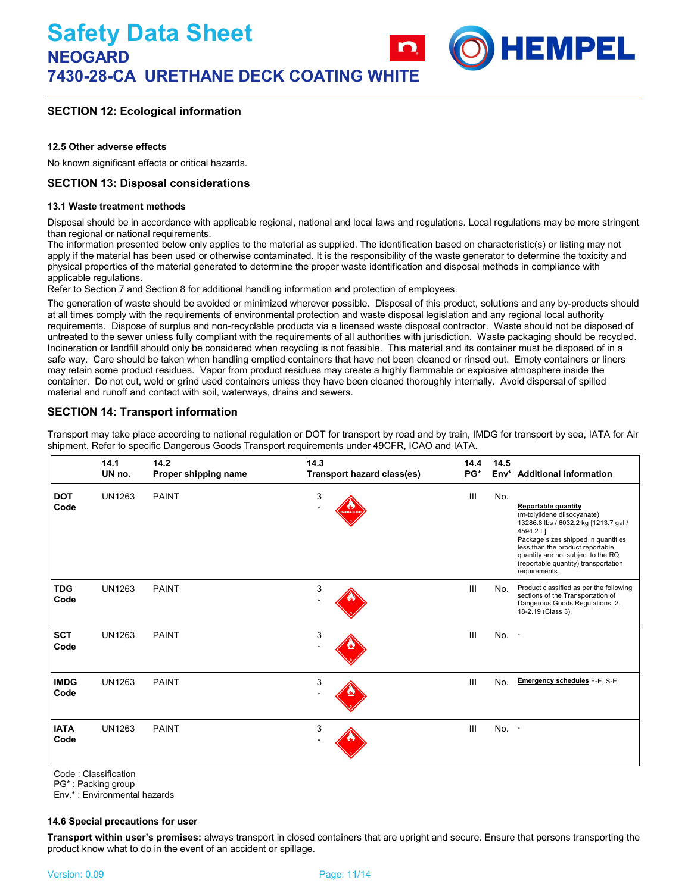**HEMPEL** 

## **SECTION 12: Ecological information**

#### **12.5 Other adverse effects**

No known significant effects or critical hazards.

## **SECTION 13: Disposal considerations**

#### **13.1 Waste treatment methods**

Disposal should be in accordance with applicable regional, national and local laws and regulations. Local regulations may be more stringent than regional or national requirements.

The information presented below only applies to the material as supplied. The identification based on characteristic(s) or listing may not apply if the material has been used or otherwise contaminated. It is the responsibility of the waste generator to determine the toxicity and physical properties of the material generated to determine the proper waste identification and disposal methods in compliance with applicable regulations.

Refer to Section 7 and Section 8 for additional handling information and protection of employees.

The generation of waste should be avoided or minimized wherever possible. Disposal of this product, solutions and any by-products should at all times comply with the requirements of environmental protection and waste disposal legislation and any regional local authority requirements. Dispose of surplus and non-recyclable products via a licensed waste disposal contractor. Waste should not be disposed of untreated to the sewer unless fully compliant with the requirements of all authorities with jurisdiction. Waste packaging should be recycled. Incineration or landfill should only be considered when recycling is not feasible. This material and its container must be disposed of in a safe way. Care should be taken when handling emptied containers that have not been cleaned or rinsed out. Empty containers or liners may retain some product residues. Vapor from product residues may create a highly flammable or explosive atmosphere inside the container. Do not cut, weld or grind used containers unless they have been cleaned thoroughly internally. Avoid dispersal of spilled material and runoff and contact with soil, waterways, drains and sewers.

## **SECTION 14: Transport information**

Transport may take place according to national regulation or DOT for transport by road and by train, IMDG for transport by sea, IATA for Air shipment. Refer to specific Dangerous Goods Transport requirements under 49CFR, ICAO and IATA.

|                     | 14.1<br>UN no. | 14.2<br>Proper shipping name | 14.3<br>Transport hazard class(es) | 14.4<br>PG* | 14.5 | Env <sup>*</sup> Additional information                                                                                                                                                                                                                                                   |
|---------------------|----------------|------------------------------|------------------------------------|-------------|------|-------------------------------------------------------------------------------------------------------------------------------------------------------------------------------------------------------------------------------------------------------------------------------------------|
| <b>DOT</b><br>Code  | <b>UN1263</b>  | <b>PAINT</b>                 | 3                                  | III         | No.  | <b>Reportable quantity</b><br>(m-tolylidene diisocyanate)<br>13286.8 lbs / 6032.2 kg [1213.7 gal /<br>4594.2 L]<br>Package sizes shipped in quantities<br>less than the product reportable<br>quantity are not subject to the RQ<br>(reportable quantity) transportation<br>requirements. |
| <b>TDG</b><br>Code  | <b>UN1263</b>  | <b>PAINT</b>                 | 3                                  | III         | No.  | Product classified as per the following<br>sections of the Transportation of<br>Dangerous Goods Regulations: 2.<br>18-2.19 (Class 3).                                                                                                                                                     |
| <b>SCT</b><br>Code  | <b>UN1263</b>  | <b>PAINT</b>                 | 3                                  | III         | No.  | $\sim$                                                                                                                                                                                                                                                                                    |
| <b>IMDG</b><br>Code | <b>UN1263</b>  | <b>PAINT</b>                 | 3                                  | III         | No.  | <b>Emergency schedules F-E, S-E</b>                                                                                                                                                                                                                                                       |
| <b>IATA</b><br>Code | <b>UN1263</b>  | <b>PAINT</b>                 | 3                                  | III         | No.  | $\sim$                                                                                                                                                                                                                                                                                    |

Code : Classification

PG\* : Packing group

Env.\* : Environmental hazards

#### **14.6 Special precautions for user**

**Transport within user's premises:** always transport in closed containers that are upright and secure. Ensure that persons transporting the product know what to do in the event of an accident or spillage.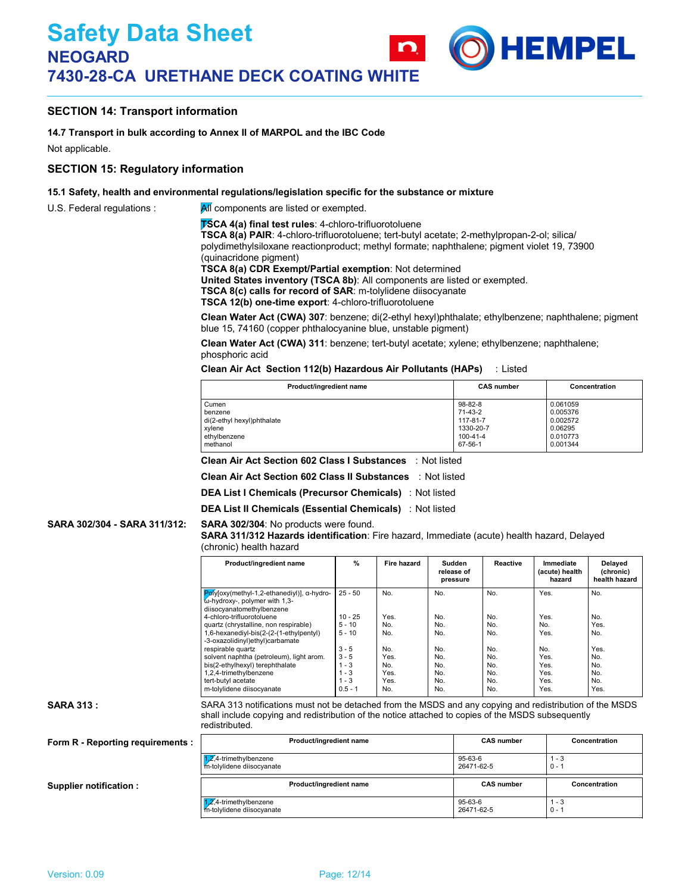## **SECTION 14: Transport information**

#### **14.7 Transport in bulk according to Annex II of MARPOL and the IBC Code**

Not applicable.

#### **SECTION 15: Regulatory information**

#### **15.1 Safety, health and environmental regulations/legislation specific for the substance or mixture**

U.S. Federal regulations :  $\mathbb{A}$  components are listed or exempted.

**TSCA 4(a) final test rules**: 4-chloro-trifluorotoluene

**TSCA 8(a) PAIR**: 4-chloro-trifluorotoluene; tert-butyl acetate; 2-methylpropan-2-ol; silica/ polydimethylsiloxane reactionproduct; methyl formate; naphthalene; pigment violet 19, 73900 (quinacridone pigment)

**TSCA 8(a) CDR Exempt/Partial exemption**: Not determined

**United States inventory (TSCA 8b)**: All components are listed or exempted.

**TSCA 8(c) calls for record of SAR**: m-tolylidene diisocyanate

**TSCA 12(b) one-time export**: 4-chloro-trifluorotoluene

**Clean Water Act (CWA) 307**: benzene; di(2-ethyl hexyl)phthalate; ethylbenzene; naphthalene; pigment blue 15, 74160 (copper phthalocyanine blue, unstable pigment)

**HEMPEL** 

**Clean Water Act (CWA) 311**: benzene; tert-butyl acetate; xylene; ethylbenzene; naphthalene; phosphoric acid

#### **Clean Air Act Section 112(b) Hazardous Air Pollutants (HAPs)** : Listed

| Product/ingredient name    | <b>CAS number</b> | Concentration |
|----------------------------|-------------------|---------------|
| Cumen                      | 98-82-8           | 0.061059      |
| benzene                    | 71-43-2           | 0.005376      |
| di(2-ethyl hexyl)phthalate | 117-81-7          | 0.002572      |
| xylene                     | 1330-20-7         | 0.06295       |
| ethylbenzene               | 100-41-4          | 0.010773      |
| methanol                   | 67-56-1           | 0.001344      |

**Clean Air Act Section 602 Class I Substances** : Not listed

**Clean Air Act Section 602 Class II Substances** : Not listed

**DEA List I Chemicals (Precursor Chemicals)** : Not listed

**DEA List II Chemicals (Essential Chemicals)** : Not listed

#### **SARA 302/304 - SARA 311/312:**

## **SARA 311/312 Hazards identification**: Fire hazard, Immediate (acute) health hazard, Delayed

|  | (chronic) health hazard |  |
|--|-------------------------|--|
|--|-------------------------|--|

**SARA 302/304**: No products were found.

| Product/ingredient name                                                                                  | $\%$      | <b>Fire hazard</b> | Sudden<br>release of<br>pressure | Reactive | Immediate<br>(acute) health<br>hazard | <b>Delaved</b><br>(chronic)<br>health hazard |
|----------------------------------------------------------------------------------------------------------|-----------|--------------------|----------------------------------|----------|---------------------------------------|----------------------------------------------|
| Pølyloxy(methyl-1,2-ethanediyl)], α-hydro-<br>ώ-hydroxy-, polymer with 1,3-<br>diisocyanatomethylbenzene | $25 - 50$ | No.                | No.                              | No.      | Yes.                                  | No.                                          |
| 4-chloro-trifluorotoluene                                                                                | $10 - 25$ | Yes.               | No.                              | No.      | Yes.                                  | No.                                          |
| quartz (chrystalline, non respirable)                                                                    | $5 - 10$  | No.                | No.                              | No.      | No.                                   | Yes.                                         |
| 1,6-hexanediyl-bis(2-(2-(1-ethylpentyl)<br>-3-oxazolidinyl)ethyl)carbamate                               | $5 - 10$  | No.                | No.                              | No.      | Yes.                                  | No.                                          |
| respirable quartz                                                                                        | $3 - 5$   | No.                | No.                              | No.      | No.                                   | Yes.                                         |
| solvent naphtha (petroleum), light arom.                                                                 | $3 - 5$   | Yes.               | No.                              | No.      | Yes.                                  | No.                                          |
| bis(2-ethylhexyl) terephthalate                                                                          | $1 - 3$   | No.                | No.                              | No.      | Yes.                                  | No.                                          |
| 1,2,4-trimethylbenzene                                                                                   | $1 - 3$   | Yes.               | No.                              | No.      | Yes.                                  | No.                                          |
| tert-butvl acetate                                                                                       | $1 - 3$   | Yes.               | No.                              | No.      | Yes.                                  | No.                                          |
| m-tolylidene diisocyanate                                                                                | $0.5 - 1$ | No.                | No.                              | No.      | Yes.                                  | Yes.                                         |
|                                                                                                          |           |                    |                                  |          |                                       |                                              |

#### **SARA 313 :**

SARA 313 notifications must not be detached from the MSDS and any copying and redistribution of the MSDS shall include copying and redistribution of the notice attached to copies of the MSDS subsequently redistributed.

#### **Form R - Reporting requirements :**

**Supplier notification :**

**Product/ingredient name CAS number Concentration** 1,2,4-trimethylbenzene 95-63-6 1 - 3 m-tolylidene diisocyanate 26471-62-5 0 - 1  $\overline{Z}$ ,4-trimethylbenzene 1 - 3<br>  $\overline{Z}$ ,4-trimethylbenzene 1 - 3<br>  $\overline{Z}$ ,4-trimethylbenzene 1 - 3 n-tolylidene diisocyanate **Product/ingredient name CAS number CAS number Concentration**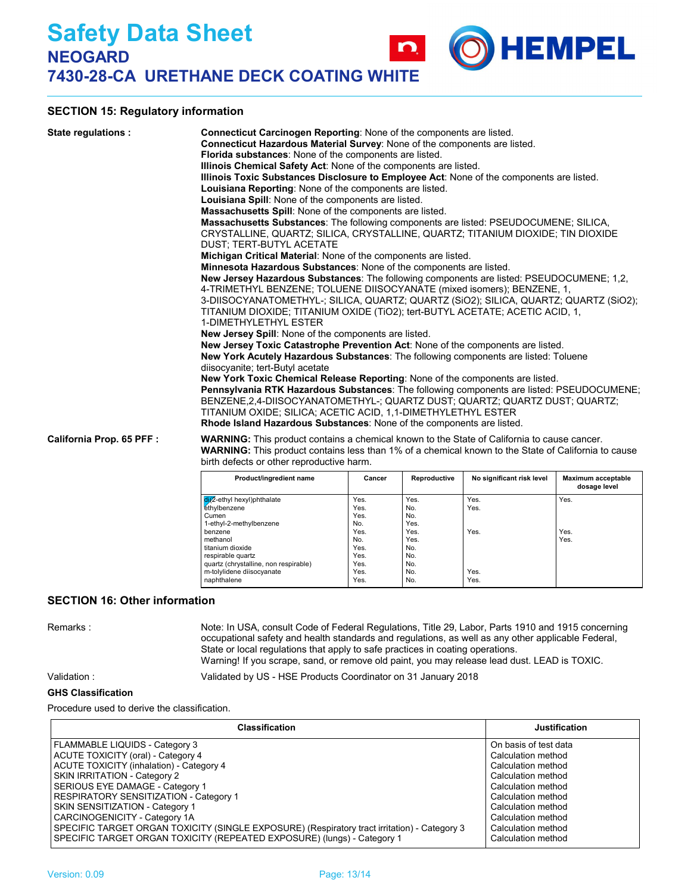## **SECTION 15: Regulatory information**

| State regulations:        | <b>Connecticut Carcinogen Reporting:</b> None of the components are listed.<br>Connecticut Hazardous Material Survey: None of the components are listed.<br>Florida substances: None of the components are listed.<br>Illinois Chemical Safety Act: None of the components are listed.<br>Illinois Toxic Substances Disclosure to Employee Act: None of the components are listed.<br>Louisiana Reporting: None of the components are listed.<br>Louisiana Spill: None of the components are listed.<br><b>Massachusetts Spill:</b> None of the components are listed.<br>Massachusetts Substances: The following components are listed: PSEUDOCUMENE; SILICA,<br>CRYSTALLINE, QUARTZ; SILICA, CRYSTALLINE, QUARTZ; TITANIUM DIOXIDE; TIN DIOXIDE<br>DUST: TERT-BUTYL ACETATE<br>Michigan Critical Material: None of the components are listed.<br><b>Minnesota Hazardous Substances: None of the components are listed.</b><br><b>New Jersey Hazardous Substances:</b> The following components are listed: PSEUDOCUMENE; 1,2,<br>4-TRIMETHYL BENZENE; TOLUENE DIISOCYANATE (mixed isomers); BENZENE, 1,<br>3-DIISOCYANATOMETHYL-; SILICA, QUARTZ; QUARTZ (SiO2); SILICA, QUARTZ; QUARTZ (SiO2);<br>TITANIUM DIOXIDE; TITANIUM OXIDE (TIO2); tert-BUTYL ACETATE; ACETIC ACID, 1,<br>1-DIMETHYLETHYL ESTER<br><b>New Jersey Spill:</b> None of the components are listed.<br>New Jersey Toxic Catastrophe Prevention Act: None of the components are listed.<br>New York Acutely Hazardous Substances: The following components are listed: Toluene<br>diisocyanite; tert-Butyl acetate<br>New York Toxic Chemical Release Reporting: None of the components are listed.<br>Pennsylvania RTK Hazardous Substances: The following components are listed: PSEUDOCUMENE;<br>BENZENE.2.4-DIISOCYANATOMETHYL-; QUARTZ DUST; QUARTZ; QUARTZ DUST; QUARTZ;<br>TITANIUM OXIDE; SILICA; ACETIC ACID, 1,1-DIMETHYLETHYL ESTER<br><b>Rhode Island Hazardous Substances: None of the components are listed.</b> |
|---------------------------|-----------------------------------------------------------------------------------------------------------------------------------------------------------------------------------------------------------------------------------------------------------------------------------------------------------------------------------------------------------------------------------------------------------------------------------------------------------------------------------------------------------------------------------------------------------------------------------------------------------------------------------------------------------------------------------------------------------------------------------------------------------------------------------------------------------------------------------------------------------------------------------------------------------------------------------------------------------------------------------------------------------------------------------------------------------------------------------------------------------------------------------------------------------------------------------------------------------------------------------------------------------------------------------------------------------------------------------------------------------------------------------------------------------------------------------------------------------------------------------------------------------------------------------------------------------------------------------------------------------------------------------------------------------------------------------------------------------------------------------------------------------------------------------------------------------------------------------------------------------------------------------------------------------------------------------------------------------------------------------------------------|
| California Prop. 65 PFF : | <b>WARNING:</b> This product contains a chemical known to the State of California to cause cancer.<br><b>WARNING:</b> This product contains less than 1% of a chemical known to the State of California to cause<br>birth defects or other reproductive harm.<br><b>Penroductive</b><br>Mavimum accontable<br>No significant risk level<br><b>Product/ingradiant name</b><br>Cancer                                                                                                                                                                                                                                                                                                                                                                                                                                                                                                                                                                                                                                                                                                                                                                                                                                                                                                                                                                                                                                                                                                                                                                                                                                                                                                                                                                                                                                                                                                                                                                                                                 |

| Product/ingredient name                 | Cancer | Reproductive | No significant risk level | Maximum acceptable<br>dosage level |
|-----------------------------------------|--------|--------------|---------------------------|------------------------------------|
| dit <sup>2</sup> -ethyl hexyl)phthalate | Yes.   | Yes.         | Yes.                      | Yes.                               |
| ethylbenzene                            | Yes.   | No.          | Yes.                      |                                    |
| Cumen                                   | Yes.   | No.          |                           |                                    |
| 1-ethyl-2-methylbenzene                 | No.    | Yes.         |                           |                                    |
| benzene                                 | Yes.   | Yes.         | Yes.                      | Yes.                               |
| methanol                                | No.    | Yes.         |                           | Yes.                               |
| titanium dioxide                        | Yes.   | No.          |                           |                                    |
| respirable quartz                       | Yes.   | No.          |                           |                                    |
| quartz (chrystalline, non respirable)   | Yes.   | No.          |                           |                                    |
| m-tolylidene diisocyanate               | Yes.   | No.          | Yes.                      |                                    |
| naphthalene                             | Yes.   | No.          | Yes.                      |                                    |

**HEMPEL** 

### **SECTION 16: Other information**

Remarks : Note: In USA, consult Code of Federal Regulations, Title 29, Labor, Parts 1910 and 1915 concerning occupational safety and health standards and regulations, as well as any other applicable Federal, State or local regulations that apply to safe practices in coating operations. Warning! If you scrape, sand, or remove old paint, you may release lead dust. LEAD is TOXIC.

Validation : Validated by US - HSE Products Coordinator on 31 January 2018

#### **GHS Classification**

Procedure used to derive the classification.

| <b>Classification</b>                                                                        | <b>Justification</b>  |
|----------------------------------------------------------------------------------------------|-----------------------|
| FLAMMABLE LIQUIDS - Category 3                                                               | On basis of test data |
| ACUTE TOXICITY (oral) - Category 4                                                           | Calculation method    |
| ACUTE TOXICITY (inhalation) - Category 4                                                     | Calculation method    |
| SKIN IRRITATION - Category 2                                                                 | Calculation method    |
| SERIOUS EYE DAMAGE - Category 1                                                              | Calculation method    |
| RESPIRATORY SENSITIZATION - Category 1                                                       | Calculation method    |
| <b>SKIN SENSITIZATION - Category 1</b>                                                       | Calculation method    |
| CARCINOGENICITY - Category 1A                                                                | Calculation method    |
| SPECIFIC TARGET ORGAN TOXICITY (SINGLE EXPOSURE) (Respiratory tract irritation) - Category 3 | Calculation method    |
| SPECIFIC TARGET ORGAN TOXICITY (REPEATED EXPOSURE) (lungs) - Category 1                      | Calculation method    |